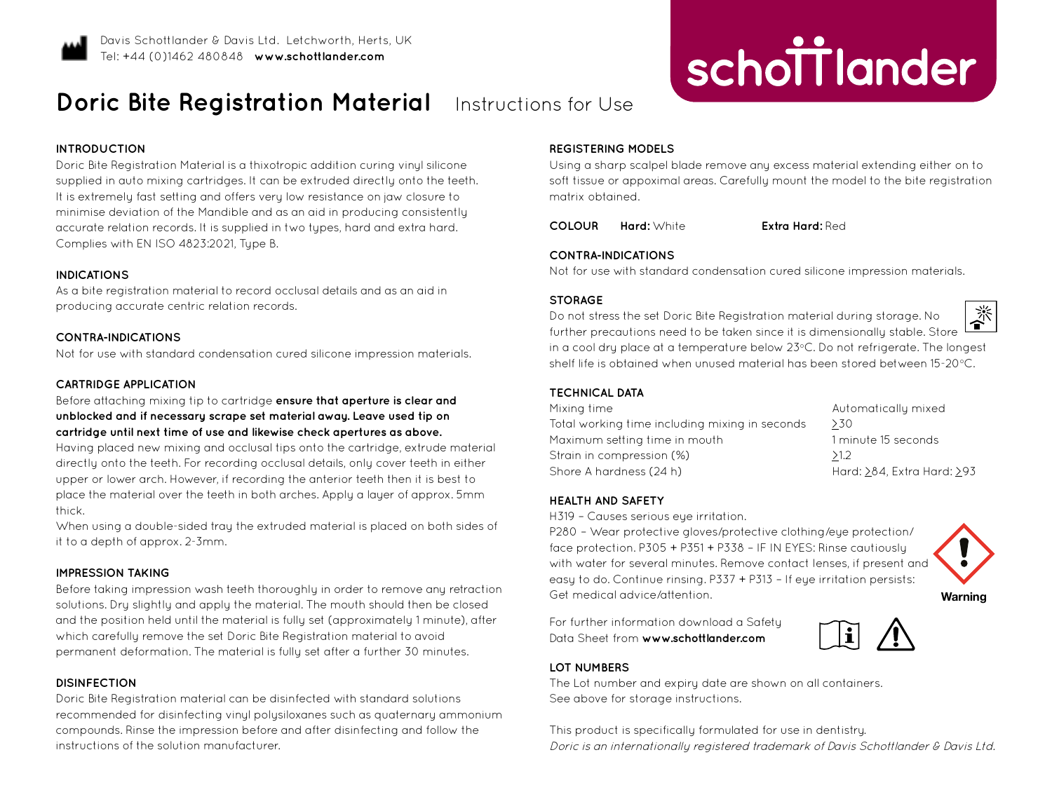

# **Doric Bite Registration Material** Instructions for Use

## **INTRODUCTION**

Doric Bite Registration Material is a thixotropic addition curing vinyl silicone supplied in auto mixing cartridges. It can be extruded directly onto the teeth. It is extremely fast setting and offers very low resistance on jaw closure to minimise deviation of the Mandible and as an aid in producing consistently accurate relation records. It is supplied in two types, hard and extra hard. Complies with EN ISO 4823:2021, Type B.

#### **INDICATIONS**

As a bite registration material to record occlusal details and as an aid in producing accurate centric relation records.

## **CONTRA-INDICATIONS**

Not for use with standard condensation cured silicone impression materials.

## **CARTRIDGE APPLICATION**

Before attaching mixing tip to cartridge **ensure that aperture is clear and unblocked and if necessary scrape set material away. Leave used tip on cartridge until next time of use and likewise check apertures as above.**

Having placed new mixing and occlusal tips onto the cartridge, extrude material directly onto the teeth. For recording occlusal details, only cover teeth in either upper or lower arch. However, if recording the anterior teeth then it is best to place the material over the teeth in both arches. Apply a layer of approx. 5mm thick.

When using a double-sided tray the extruded material is placed on both sides of it to a depth of approx. 2-3mm.

## **IMPRESSION TAKING**

Before taking impression wash teeth thoroughly in order to remove any retraction solutions. Dry slightly and apply the material. The mouth should then be closed and the position held until the material is fully set (approximately 1 minute), after which carefully remove the set Doric Bite Registration material to avoid permanent deformation. The material is fully set after a further 30 minutes.

## **DISINFECTION**

Doric Bite Registration material can be disinfected with standard solutions recommended for disinfecting vinyl polysiloxanes such as quaternary ammonium compounds. Rinse the impression before and after disinfecting and follow the instructions of the solution manufacturer.

#### **REGISTERING MODELS**

Using a sharp scalpel blade remove any excess material extending either on to soft tissue or appoximal areas. Carefully mount the model to the bite registration matrix obtained.

**COLOUR Hard:** White **Extra Hard:** Red

**improving dentistry together**

schottlander

### **CONTRA-INDICATIONS**

Not for use with standard condensation cured silicone impression materials.

#### **STORAGE**

Do not stress the set Doric Bite Registration material during storage. No further precautions need to be taken since it is dimensionally stable. Store in a cool dru place at a temperature below 23°C. Do not refrigerate. The longest shelf life is obtained when unused material has been stored between 15-20°C.

#### **TECHNICAL DATA**

| Mixing time                                    | Automaticallu mixed        |
|------------------------------------------------|----------------------------|
| Total working time including mixing in seconds | >30                        |
| Maximum setting time in mouth                  | 1 minute 15 seconds        |
| Strain in compression (%)                      | >1.2                       |
| Shore A hardness (24 h)                        | Hard: >84, Extra Hard: >93 |

# **HEALTH AND SAFETY**

H319 - Causes serious eue irritation.

P280 – Wear protective gloves/protective clothing/eye protection/ face protection. P305 + P351 + P338 – IF IN EYES: Rinse cautiously with water for several minutes. Remove contact lenses, if present and easy to do. Continue rinsing. P337 + P313 – If eye irritation persists: Get medical advice/attention.

For further information download a Safety Data Sheet from **www.schottlander.com**



# **LOT NUMBERS**

The Lot number and expiry date are shown on all containers. See above for storage instructions.

This product is specifically formulated for use in dentistry. Doric is an internationally registered trademark of Davis Schottlander & Davis Ltd.



**Warning**